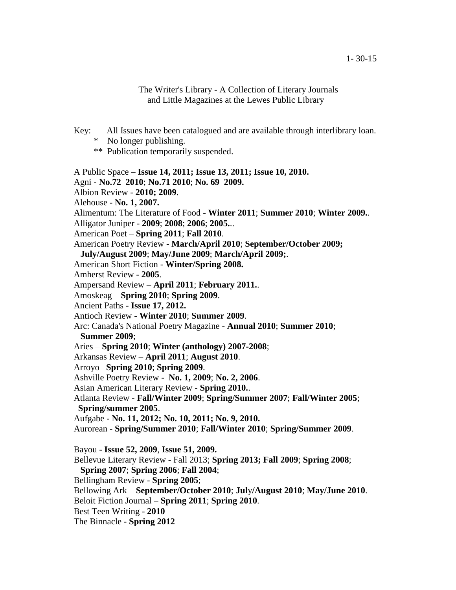The Writer's Library - A Collection of Literary Journals and Little Magazines at the Lewes Public Library

- Key: All Issues have been catalogued and are available through interlibrary loan.
	- \* No longer publishing.
	- \*\* Publication temporarily suspended.

A Public Space – **Issue 14, 2011; Issue 13, 2011; Issue 10, 2010.**

Agni - **No.72 2010**; **No.71 2010**; **No. 69 2009.**

Albion Review - **2010; 2009**.

Alehouse - **No. 1, 2007.**

Alimentum: The Literature of Food - **Winter 2011**; **Summer 2010**; **Winter 2009.**.

Alligator Juniper - **2009**; **2008**; **2006**; **2005.**..

American Poet – **Spring 2011**; **Fall 2010**.

American Poetry Review - **March/April 2010**; **September/October 2009;**

**July/August 2009**; **May/June 2009**; **March/April 2009;**.

American Short Fiction - **Winter/Spring 2008.**

Amherst Review - **2005**.

Ampersand Review – **April 2011**; **February 2011.**.

Amoskeag – **Spring 2010**; **Spring 2009**.

Ancient Paths - **Issue 17, 2012.**

Antioch Review - **Winter 2010**; **Summer 2009**.

 Arc: Canada's National Poetry Magazine - **Annual 2010**; **Summer 2010**; **Summer 2009**;

Aries – **Spring 2010**; **Winter (anthology) 2007-2008**;

Arkansas Review – **April 2011**; **August 2010**.

Arroyo –**Spring 2010**; **Spring 2009**.

Ashville Poetry Review - **No. 1, 2009**; **No. 2, 2006**.

Asian American Literary Review - **Spring 2010.**.

Atlanta Review - **Fall/Winter 2009**; **Spring/Summer 2007**; **Fall/Winter 2005**;

- **Spring/summer 2005**.
- Aufgabe **No. 11, 2012; No. 10, 2011; No. 9, 2010.**

Aurorean - **Spring/Summer 2010**; **Fall/Winter 2010**; **Spring/Summer 2009**.

Bayou - **Issue 52, 2009**, **Issue 51, 2009.**

Bellevue Literary Review - Fall 2013; **Spring 2013; Fall 2009**; **Spring 2008**;

**Spring 2007**; **Spring 2006**; **Fall 2004**;

Bellingham Review - **Spring 2005**;

Bellowing Ark – **September/October 2010**; **Jul**y**/August 2010**; **May/June 2010**.

Beloit Fiction Journal – **Spring 2011**; **Spring 2010**.

Best Teen Writing - **2010**

The Binnacle - **Spring 2012**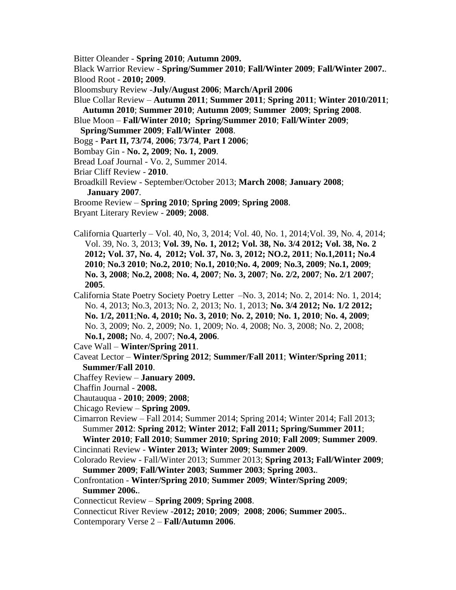Bitter Oleander - **Spring 2010**; **Autumn 2009.**

 Black Warrior Review - **Spring/Summer 2010**; **Fall/Winter 2009**; **Fall/Winter 2007.**. Blood Root - **2010; 2009**.

Bloomsbury Review -**July/August 2006**; **March/April 2006**

 Blue Collar Review – **Autumn 2011**; **Summer 2011**; **Spring 2011**; **Winter 2010/2011**; **Autumn 2010**; **Summer 2010**; **Autumn 2009**; **Summer 2009**; **Spring 2008**.

Blue Moon – **Fall/Winter 2010; Spring/Summer 2010**; **Fall/Winter 2009**;

- **Spring/Summer 2009**; **Fall/Winter 2008**.
- Bogg **Part II, 73/74**, **2006**; **73/74**, **Part I 2006**;
- Bombay Gin **No. 2, 2009**; **No. 1, 2009**.
- Bread Loaf Journal Vo. 2, Summer 2014.
- Briar Cliff Review **2010**.

Broadkill Review - September/October 2013; **March 2008**; **January 2008**;

 **January 2007**.

- Broome Review **Spring 2010**; **Spring 2009**; **Spring 2008**.
- Bryant Literary Review **2009**; **2008**.
- California Quarterly Vol. 40, No, 3, 2014; Vol. 40, No. 1, 2014;Vol. 39, No. 4, 2014; Vol. 39, No. 3, 2013; **Vol. 39, No. 1, 2012; Vol. 38, No. 3/4 2012; Vol. 38, No. 2 2012; Vol. 37, No. 4, 2012; Vol. 37, No. 3, 2012; NO.2, 2011**; **No.1,2011; No.4 2010**; **No.3 2010**; **No.2, 2010**; **No.1, 2010**;**No. 4, 2009**; **No.3, 2009**; **No.1, 2009**; **No. 3, 2008**; **No.2, 2008**; **No. 4, 2007**; **No. 3, 2007**; **No. 2/2, 2007**; **No. 2/1 2007**; **2005**.
- California State Poetry Society Poetry Letter –No. 3, 2014; No. 2, 2014: No. 1, 2014; No. 4, 2013; No.3, 2013; No. 2, 2013; No. 1, 2013; **No. 3/4 2012; No. 1/2 2012; No. 1/2, 2011**;**No. 4, 2010; No. 3, 2010**; **No. 2, 2010**; **No. 1, 2010**; **No. 4, 2009**; No. 3, 2009; No. 2, 2009; No. 1, 2009; No. 4, 2008; No. 3, 2008; No. 2, 2008; **No.1, 2008;** No. 4, 2007; **No.4, 2006**.
- Cave Wall **Winter/Spring 2011**.
- Caveat Lector **Winter/Spring 2012**; **Summer/Fall 2011**; **Winter/Spring 2011**; **Summer/Fall 2010**.
- Chaffey Review **January 2009.**
- Chaffin Journal **2008.**
- Chautauqua **2010**; **2009**; **2008**;
- Chicago Review **Spring 2009.**
- Cimarron Review Fall 2014; Summer 2014; Spring 2014; Winter 2014; Fall 2013; Summer **2012**: **Spring 2012**; **Winter 2012**; **Fall 2011; Spring/Summer 2011**;

 **Winter 2010**; **Fall 2010**; **Summer 2010**; **Spring 2010**; **Fall 2009**; **Summer 2009**. Cincinnati Review - **Winter 2013; Winter 2009**; **Summer 2009**.

- Colorado Review Fall/Winter 2013; Summer 2013; **Spring 2013; Fall/Winter 2009**; **Summer 2009**; **Fall/Winter 2003**; **Summer 2003**; **Spring 2003.**.
- Confrontation **Winter/Spring 2010**; **Summer 2009**; **Winter/Spring 2009**; **Summer 2006.**.
- Connecticut Review **Spring 2009**; **Spring 2008**.
- Connecticut River Review -**2012; 2010**; **2009**; **2008**; **2006**; **Summer 2005.**.
- Contemporary Verse 2 **Fall/Autumn 2006**.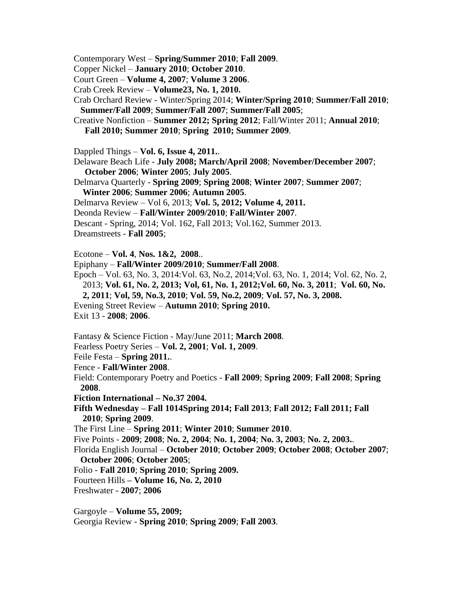Contemporary West – **Spring/Summer 2010**; **Fall 2009**.

Copper Nickel – **January 2010**; **October 2010**.

- Court Green **Volume 4, 2007**; **Volume 3 2006**.
- Crab Creek Review **Volume23, No. 1, 2010.**
- Crab Orchard Review Winter/Spring 2014; **Winter/Spring 2010**; **Summer/Fall 2010**; **Summer/Fall 2009**; **Summer/Fall 2007**; **Summer/Fall 2005**;
- Creative Nonfiction **Summer 2012; Spring 2012**; Fall/Winter 2011; **Annual 2010**; **Fall 2010; Summer 2010**; **Spring 2010; Summer 2009**.
- Dappled Things **Vol. 6, Issue 4, 2011.**.
- Delaware Beach Life **July 2008; March/April 2008**; **November/December 2007**; **October 2006**; **Winter 2005**; **July 2005**.
- Delmarva Quarterly **Spring 2009**; **Spring 2008**; **Winter 2007**; **Summer 2007**; **Winter 2006**; **Summer 2006**; **Autumn 2005**.
- Delmarva Review Vol 6, 2013; **Vol. 5, 2012; Volume 4, 2011.**
- Deonda Review **Fall/Winter 2009/2010**; **Fall/Winter 2007**.
- Descant Spring, 2014; Vol. 162, Fall 2013; Vol.162, Summer 2013.
- Dreamstreets **Fall 2005**;
- Ecotone **Vol. 4**, **Nos. 1&2, 2008**..
- Epiphany **Fall/Winter 2009/2010**; **Summer/Fall 2008**.
- Epoch Vol. 63, No. 3, 2014:Vol. 63, No.2, 2014;Vol. 63, No. 1, 2014; Vol. 62, No. 2, 2013; **Vol. 61, No. 2, 2013; Vol, 61, No. 1, 2012;Vol. 60, No. 3, 2011**; **Vol. 60, No. 2, 2011**; **Vol, 59, No.3, 2010**; **Vol. 59, No.2, 2009**; **Vol. 57, No. 3, 2008.**
- Evening Street Review **Autumn 2010**; **Spring 2010.**
- Exit 13 **2008**; **2006**.
- Fantasy & Science Fiction May/June 2011; **March 2008**.
- Fearless Poetry Series **Vol. 2, 2001**; **Vol. 1, 2009**.
- Feile Festa **Spring 2011.**.
- Fence **Fall/Winter 2008**.
- Field: Contemporary Poetry and Poetics **Fall 2009**; **Spring 2009**; **Fall 2008**; **Spring 2008**.
- **Fiction International – No.37 2004.**
- **Fifth Wednesday – Fall 1014Spring 2014; Fall 2013**; **Fall 2012; Fall 2011; Fall 2010**; **Spring 2009**.
- The First Line **Spring 2011**; **Winter 2010**; **Summer 2010**.
- Five Points **2009**; **2008**; **No. 2, 2004**; **No. 1, 2004**; **No. 3, 2003**; **No. 2, 2003.**.
- Florida English Journal **October 2010**; **October 2009**; **October 2008**; **October 2007**; **October 2006**; **October 2005**;
- Folio **Fall 2010**; **Spring 2010**; **Spring 2009.**
- Fourteen Hills **– Volume 16, No. 2, 2010**
- Freshwater **2007**; **2006**
- Gargoyle **Volume 55, 2009;**  Georgia Review - **Spring 2010**; **Spring 2009**; **Fall 2003**.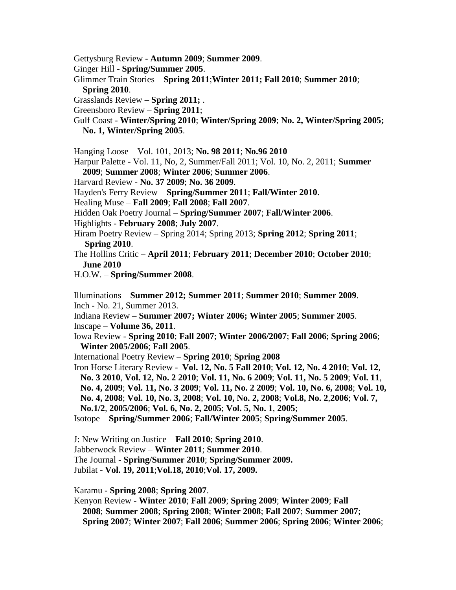- Gettysburg Review **Autumn 2009**; **Summer 2009**.
- Ginger Hill **Spring/Summer 2005**.
- Glimmer Train Stories **Spring 2011**;**Winter 2011; Fall 2010**; **Summer 2010**;
	- **Spring 2010**.
- Grasslands Review **Spring 2011;** .
- Greensboro Review **Spring 2011**;
- Gulf Coast **Winter/Spring 2010**; **Winter/Spring 2009**; **No. 2, Winter/Spring 2005; No. 1, Winter/Spring 2005**.
- Hanging Loose Vol. 101, 2013; **No. 98 2011**; **No.96 2010**
- Harpur Palette Vol. 11, No, 2, Summer/Fall 2011; Vol. 10, No. 2, 2011; **Summer**
- **2009**; **Summer 2008**; **Winter 2006**; **Summer 2006**.
- Harvard Review **No. 37 2009**; **No. 36 2009**.
- Hayden's Ferry Review **Spring/Summer 2011**; **Fall/Winter 2010**.
- Healing Muse **Fall 2009**; **Fall 2008**; **Fall 2007**.
- Hidden Oak Poetry Journal **Spring/Summer 2007**; **Fall/Winter 2006**.
- Highlights **February 2008**; **July 2007**.
- Hiram Poetry Review Spring 2014; Spring 2013; **Spring 2012**; **Spring 2011**; **Spring 2010**.
- The Hollins Critic **April 2011**; **February 2011**; **December 2010**; **October 2010**; **June 2010**
- H.O.W. **Spring/Summer 2008**.
- Illuminations **Summer 2012; Summer 2011**; **Summer 2010**; **Summer 2009**. Inch - No. 21, Summer 2013.
- Indiana Review **Summer 2007; Winter 2006; Winter 2005**; **Summer 2005**. Inscape – **Volume 36, 2011**.
- Iowa Review **Spring 2010**; **Fall 2007**; **Winter 2006/2007**; **Fall 2006**; **Spring 2006**; **Winter 2005/2006**; **Fall 2005**.
- International Poetry Review **Spring 2010**; **Spring 2008**
- Iron Horse Literary Review **Vol. 12, No. 5 Fall 2010**; **Vol. 12, No. 4 2010**; **Vol. 12**, **No. 3 2010**, **Vol. 12, No. 2 2010**; **Vol. 11, No. 6 2009**; **Vol. 11, No. 5 2009**; **Vol. 11**, **No. 4, 2009**; **Vol. 11, No. 3 2009**; **Vol. 11, No. 2 2009**; **Vol. 10, No. 6, 2008**; **Vol. 10, No. 4, 2008**; **Vol. 10, No. 3, 2008**; **Vol. 10, No. 2, 2008**; **Vol.8, No. 2**,**2006**; **Vol. 7, No.1/2**, **2005/2006**; **Vol. 6, No. 2, 2005**; **Vol. 5, No. 1**, **2005**; Isotope – **Spring/Summer 2006**; **Fall/Winter 2005**; **Spring/Summer 2005**.
- J: New Writing on Justice **Fall 2010**; **Spring 2010**.
- Jabberwock Review **Winter 2011**; **Summer 2010**.
- The Journal **Spring/Summer 2010**; **Spring/Summer 2009.**
- Jubilat **Vol. 19, 2011**;**Vol.18, 2010**;**Vol. 17, 2009.**

Karamu - **Spring 2008**; **Spring 2007**.

 Kenyon Review - **Winter 2010**; **Fall 2009**; **Spring 2009**; **Winter 2009**; **Fall 2008**; **Summer 2008**; **Spring 2008**; **Winter 2008**; **Fall 2007**; **Summer 2007**; **Spring 2007**; **Winter 2007**; **Fall 2006**; **Summer 2006**; **Spring 2006**; **Winter 2006**;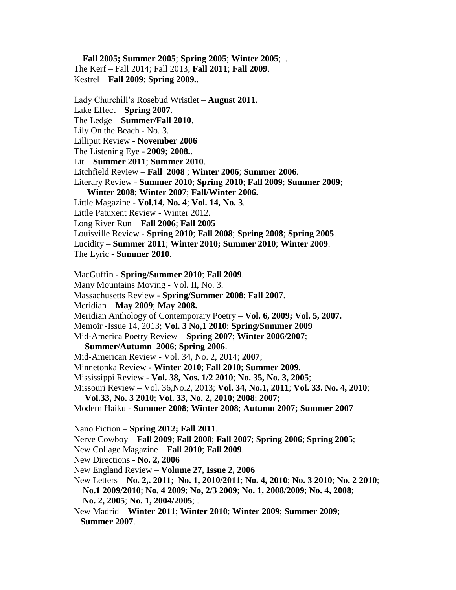**Fall 2005; Summer 2005**; **Spring 2005**; **Winter 2005**; . The Kerf – Fall 2014; Fall 2013; **Fall 2011**; **Fall 2009**. Kestrel – **Fall 2009**; **Spring 2009.**.

Lady Churchill's Rosebud Wristlet – **August 2011**.

Lake Effect – **Spring 2007**.

The Ledge – **Summer/Fall 2010**.

Lily On the Beach - No. 3.

Lilliput Review - **November 2006**

The Listening Eye - **2009; 2008.**.

Lit – **Summer 2011**; **Summer 2010**.

Litchfield Review – **Fall 2008** ; **Winter 2006**; **Summer 2006**.

 Literary Review - **Summer 2010**; **Spring 2010**; **Fall 2009**; **Summer 2009**; **Winter 2008**; **Winter 2007**; **Fall/Winter 2006.**

Little Magazine - **Vol.14, No. 4**; **Vol. 14, No. 3**.

Little Patuxent Review - Winter 2012.

Long River Run – **Fall 2006**; **Fall 2005**

Louisville Review - **Spring 2010**; **Fall 2008**; **Spring 2008**; **Spring 2005**.

Lucidity – **Summer 2011**; **Winter 2010; Summer 2010**; **Winter 2009**.

The Lyric - **Summer 2010**.

MacGuffin - **Spring/Summer 2010**; **Fall 2009**.

Many Mountains Moving - Vol. II, No. 3.

Massachusetts Review - **Spring/Summer 2008**; **Fall 2007**.

Meridian – **May 2009**; **May 2008.**

Meridian Anthology of Contemporary Poetry – **Vol. 6, 2009; Vol. 5, 2007.** 

Memoir -Issue 14, 2013; **Vol. 3 No,1 2010**; **Spring/Summer 2009**

Mid-America Poetry Review – **Spring 2007**; **Winter 2006/2007**;

**Summer/Autumn 2006**; **Spring 2006**.

Mid-American Review - Vol. 34, No. 2, 2014; **2007**;

Minnetonka Review - **Winter 2010**; **Fall 2010**; **Summer 2009**.

Mississippi Review - **Vol. 38, Nos. 1/2 2010**; **No. 35, No. 3, 2005**;

Missouri Review – Vol. 36,No.2, 2013; **Vol. 34, No.1, 2011**; **Vol. 33. No. 4, 2010**;

**Vol.33, No. 3 2010**; **Vol. 33, No. 2, 2010**; **2008**; **2007**;

Modern Haiku - **Summer 2008**; **Winter 2008**; **Autumn 2007; Summer 2007**

Nano Fiction – **Spring 2012; Fall 2011**.

Nerve Cowboy – **Fall 2009**; **Fall 2008**; **Fall 2007**; **Spring 2006**; **Spring 2005**;

New Collage Magazine – **Fall 2010**; **Fall 2009**.

New Directions - **No. 2, 2006**

New England Review – **Volume 27, Issue 2, 2006**

 New Letters – **No. 2,. 2011**; **No. 1, 2010/2011**; **No. 4, 2010**; **No. 3 2010**; **No. 2 2010**; **No.1 2009/2010**; **No. 4 2009**; **No, 2/3 2009**; **No. 1, 2008/2009**; **No. 4, 2008**;

**No. 2, 2005**; **No. 1, 2004/2005**; .

 New Madrid – **Winter 2011**; **Winter 2010**; **Winter 2009**; **Summer 2009**; **Summer 2007**.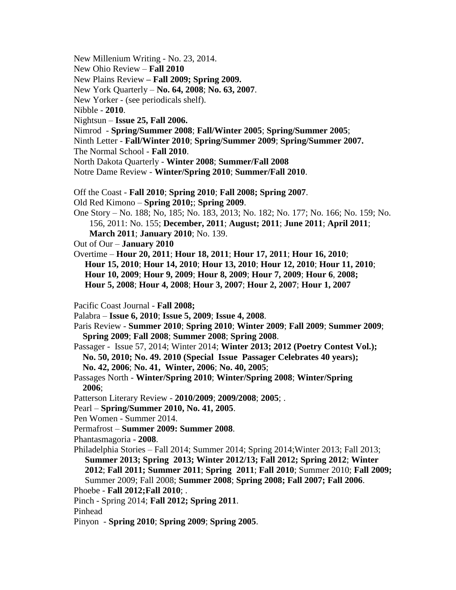- New Millenium Writing No. 23, 2014.
- New Ohio Review **Fall 2010**
- New Plains Review **– Fall 2009; Spring 2009.**
- New York Quarterly **No. 64, 2008**; **No. 63, 2007**.
- New Yorker (see periodicals shelf).
- Nibble **2010**.
- Nightsun **Issue 25, Fall 2006.**
- Nimrod **Spring/Summer 2008**; **Fall/Winter 2005**; **Spring/Summer 2005**;
- Ninth Letter **Fall/Winter 2010**; **Spring/Summer 2009**; **Spring/Summer 2007.**
- The Normal School **Fall 2010**.
- North Dakota Quarterly **Winter 2008**; **Summer/Fall 2008**
- Notre Dame Review **Winter/Spring 2010**; **Summer/Fall 2010**.
- Off the Coast **Fall 2010**; **Spring 2010**; **Fall 2008; Spring 2007**.
- Old Red Kimono **Spring 2010;**; **Spring 2009**.
- One Story No. 188; No, 185; No. 183, 2013; No. 182; No. 177; No. 166; No. 159; No. 156, 2011: No. 155; **December, 2011**; **August; 2011**; **June 2011**; **April 2011**; **March 2011**; **January 2010**; No. 139.
- Out of Our **January 2010**
- Overtime **Hour 20, 2011**; **Hour 18, 2011**; **Hour 17, 2011**; **Hour 16, 2010**; **Hour 15, 2010**; **Hour 14, 2010**; **Hour 13, 2010**; **Hour 12, 2010**; **Hour 11, 2010**; **Hour 10, 2009**; **Hour 9, 2009**; **Hour 8, 2009**; **Hour 7, 2009**; **Hour 6**, **2008; Hour 5, 2008**; **Hour 4, 2008**; **Hour 3, 2007**; **Hour 2, 2007**; **Hour 1, 2007**
- Pacific Coast Journal **Fall 2008;**
- Palabra **Issue 6, 2010**; **Issue 5, 2009**; **Issue 4, 2008**.
- Paris Review **Summer 2010**; **Spring 2010**; **Winter 2009**; **Fall 2009**; **Summer 2009**; **Spring 2009**; **Fall 2008**; **Summer 2008**; **Spring 2008**.
- Passager Issue 57, 2014; Winter 2014; **Winter 2013; 2012 (Poetry Contest Vol.); No. 50, 2010; No. 49. 2010 (Special Issue Passager Celebrates 40 years); No. 42, 2006**; **No. 41, Winter, 2006**; **No. 40, 2005**;
- Passages North **Winter/Spring 2010**; **Winter/Spring 2008**; **Winter/Spring 2006**;
- Patterson Literary Review **2010/2009**; **2009/2008**; **2005**; .
- Pearl **Spring/Summer 2010, No. 41, 2005**.
- Pen Women Summer 2014.
- Permafrost **Summer 2009: Summer 2008**.
- Phantasmagoria **2008**.
- Philadelphia Stories Fall 2014; Summer 2014; Spring 2014;Winter 2013; Fall 2013;  **Summer 2013; Spring 2013; Winter 2012/13; Fall 2012; Spring 2012**; **Winter 2012**; **Fall 2011; Summer 2011**; **Spring 2011**; **Fall 2010**; Summer 2010; **Fall 2009;** Summer 2009; Fall 2008; **Summer 2008**; **Spring 2008; Fall 2007; Fall 2006**.
- Phoebe **Fall 2012;Fall 2010**; .
- Pinch Spring 2014; **Fall 2012; Spring 2011**.
- Pinhead
- Pinyon **Spring 2010**; **Spring 2009**; **Spring 2005**.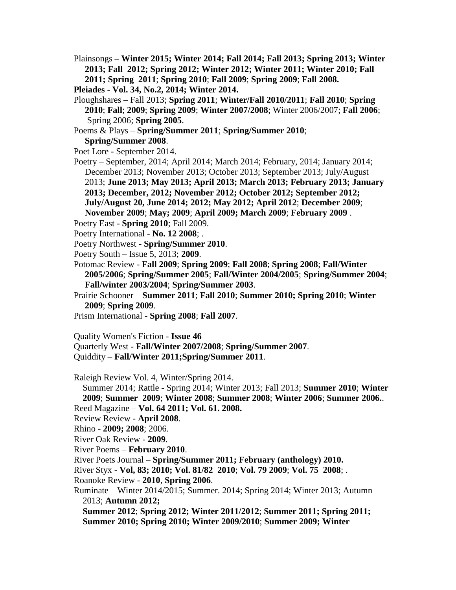Plainsongs **– Winter 2015; Winter 2014; Fall 2014; Fall 2013; Spring 2013; Winter 2013; Fall 2012; Spring 2012; Winter 2012; Winter 2011; Winter 2010; Fall 2011; Spring 2011**; **Spring 2010**; **Fall 2009**; **Spring 2009**; **Fall 2008.**

```
 Pleiades - Vol. 34, No.2, 2014; Winter 2014.
```
- Ploughshares Fall 2013; **Spring 2011**; **Winter/Fall 2010/2011**; **Fall 2010**; **Spring 2010**; **Fall**; **2009**; **Spring 2009**; **Winter 2007/2008**; Winter 2006/2007; **Fall 2006**; Spring 2006; **Spring 2005**.
- Poems & Plays **Spring/Summer 2011**; **Spring/Summer 2010**; **Spring/Summer 2008**.
- Poet Lore September 2014.
- Poetry September, 2014; April 2014; March 2014; February, 2014; January 2014; December 2013; November 2013; October 2013; September 2013; July/August 2013; **June 2013; May 2013; April 2013; March 2013; February 2013; January 2013; December, 2012; November 2012; October 2012; September 2012; July/August 20, June 2014; 2012; May 2012; April 2012**; **December 2009**; **November 2009**; **May; 2009**; **April 2009; March 2009**; **February 2009** .
- Poetry East **Spring 2010**; Fall 2009.
- Poetry International **No. 12 2008**; .
- Poetry Northwest **Spring/Summer 2010**.
- Poetry South Issue 5, 2013; **2009**.
- Potomac Review **Fall 2009**; **Spring 2009**; **Fall 2008**; **Spring 2008**; **Fall/Winter 2005/2006**; **Spring/Summer 2005**; **Fall/Winter 2004/2005**; **Spring/Summer 2004**; **Fall/winter 2003/2004**; **Spring/Summer 2003**.
- Prairie Schooner **Summer 2011**; **Fall 2010**; **Summer 2010; Spring 2010**; **Winter 2009**; **Spring 2009**.
- Prism International **Spring 2008**; **Fall 2007**.
- Quality Women's Fiction **Issue 46**
- Quarterly West **Fall/Winter 2007/2008**; **Spring/Summer 2007**.
- Quiddity **Fall/Winter 2011;Spring/Summer 2011**.

Raleigh Review Vol. 4, Winter/Spring 2014.

 Summer 2014; Rattle - Spring 2014; Winter 2013; Fall 2013; **Summer 2010**; **Winter 2009**; **Summer 2009**; **Winter 2008**; **Summer 2008**; **Winter 2006**; **Summer 2006.**. Reed Magazine – **Vol. 64 2011; Vol. 61. 2008.**

- Review Review **April 2008**.
- Rhino **2009; 2008**; 2006.
- River Oak Review **2009**.
- River Poems **February 2010**.
- River Poets Journal **Spring/Summer 2011; February (anthology) 2010.**
- River Styx **Vol, 83; 2010; Vol. 81/82 2010**; **Vol. 79 2009**; **Vol. 75 2008**; .
- Roanoke Review **2010**, **Spring 2006**.
- Ruminate Winter 2014/2015; Summer. 2014; Spring 2014; Winter 2013; Autumn 2013; **Autumn 2012;**

 **Summer 2012**; **Spring 2012; Winter 2011/2012**; **Summer 2011; Spring 2011; Summer 2010; Spring 2010; Winter 2009/2010**; **Summer 2009; Winter**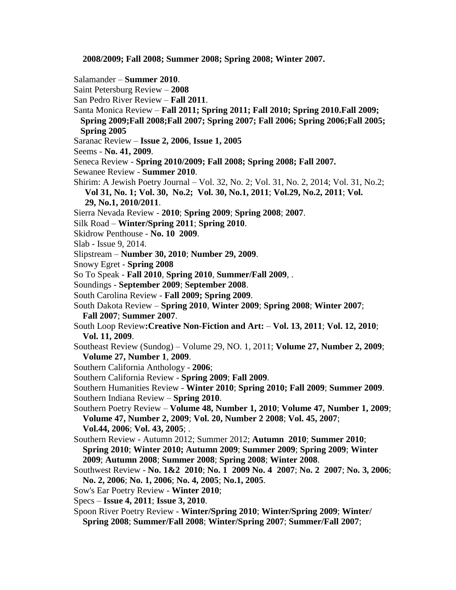**2008/2009; Fall 2008; Summer 2008; Spring 2008; Winter 2007.**

- Salamander **Summer 2010**.
- Saint Petersburg Review **2008**
- San Pedro River Review **Fall 2011**.
- Santa Monica Review **Fall 2011; Spring 2011; Fall 2010; Spring 2010.Fall 2009;**
	- **Spring 2009;Fall 2008;Fall 2007; Spring 2007; Fall 2006; Spring 2006;Fall 2005; Spring 2005**
- Saranac Review **Issue 2, 2006**, **Issue 1, 2005**
- Seems **No. 41, 2009**.
- Seneca Review **Spring 2010/2009; Fall 2008; Spring 2008; Fall 2007.**
- Sewanee Review **Summer 2010**.
- Shirim: A Jewish Poetry Journal Vol. 32, No. 2; Vol. 31, No. 2, 2014; Vol. 31, No.2; **Vol 31, No. 1; Vol. 30, No.2; Vol. 30, No.1, 2011**; **Vol.29, No.2, 2011**; **Vol.** 
	- **29, No.1, 2010/2011**.
- Sierra Nevada Review **2010**; **Spring 2009**; **Spring 2008**; **2007**.
- Silk Road **Winter/Spring 2011**; **Spring 2010**.
- Skidrow Penthouse **No. 10 2009**.
- Slab Issue 9, 2014.
- Slipstream **Number 30, 2010**; **Number 29, 2009**.
- Snowy Egret **Spring 2008**
- So To Speak **Fall 2010**, **Spring 2010**, **Summer/Fall 2009**, .
- Soundings **September 2009**; **September 2008**.
- South Carolina Review **Fall 2009; Spring 2009**.
- South Dakota Review **Spring 2010**, **Winter 2009**; **Spring 2008**; **Winter 2007**;
	- **Fall 2007**; **Summer 2007**.
- South Loop Review**:Creative Non-Fiction and Art: Vol. 13, 2011**; **Vol. 12, 2010**; **Vol. 11, 2009**.
- Southeast Review (Sundog) Volume 29, NO. 1, 2011; **Volume 27, Number 2, 2009**; **Volume 27, Number 1**, **2009**.
- Southern California Anthology **2006**;
- Southern California Review **Spring 2009**; **Fall 2009**.

 Southern Humanities Review - **Winter 2010**; **Spring 2010; Fall 2009**; **Summer 2009**. Southern Indiana Review – **Spring 2010**.

- Southern Poetry Review **Volume 48, Number 1, 2010**; **Volume 47, Number 1, 2009**; **Volume 47, Number 2, 2009**; **Vol. 20, Number 2 2008**; **Vol. 45, 2007**; **Vol.44, 2006**; **Vol. 43, 2005**; .
- Southern Review Autumn 2012; Summer 2012; **Autumn 2010**; **Summer 2010**; **Spring 2010**; **Winter 2010; Autumn 2009**; **Summer 2009**; **Spring 2009**; **Winter 2009**; **Autumn 2008**; **Summer 2008**; **Spring 2008**; **Winter 2008**.
- Southwest Review **No. 1&2 2010**; **No. 1 2009 No. 4 2007**; **No. 2 2007**; **No. 3, 2006**; **No. 2, 2006**; **No. 1, 2006**; **No. 4, 2005**; **No.1, 2005**.
- Sow's Ear Poetry Review **Winter 2010**;
- Specs **Issue 4, 2011**; **Issue 3, 2010**.
- Spoon River Poetry Review **Winter/Spring 2010**; **Winter/Spring 2009**; **Winter/ Spring 2008**; **Summer/Fall 2008**; **Winter/Spring 2007**; **Summer/Fall 2007**;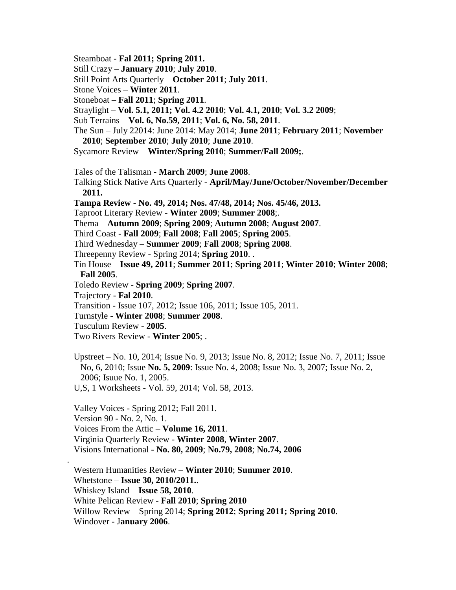- Steamboat **Fal 2011; Spring 2011.**
- Still Crazy **January 2010**; **July 2010**.
- Still Point Arts Quarterly **October 2011**; **July 2011**.
- Stone Voices **Winter 2011**.
- Stoneboat **Fall 2011**; **Spring 2011**.
- Straylight **Vol. 5.1, 2011; Vol. 4.2 2010**; **Vol. 4.1, 2010**; **Vol. 3.2 2009**;
- Sub Terrains **Vol. 6, No.59, 2011**; **Vol. 6, No. 58, 2011**.
- The Sun July 22014: June 2014: May 2014; **June 2011**; **February 2011**; **November 2010**; **September 2010**; **July 2010**; **June 2010**.
- Sycamore Review **Winter/Spring 2010**; **Summer/Fall 2009;**.
- Tales of the Talisman **March 2009**; **June 2008**.
- Talking Stick Native Arts Quarterly **April/May/June/October/November/December 2011.**
- **Tampa Review - No. 49, 2014; Nos. 47/48, 2014; Nos. 45/46, 2013.**
- Taproot Literary Review **Winter 2009**; **Summer 2008**;.
- Thema **Autumn 2009**; **Spring 2009**; **Autumn 2008**; **August 2007**.
- Third Coast **Fall 2009**; **Fall 2008**; **Fall 2005**; **Spring 2005**.
- Third Wednesday **Summer 2009**; **Fall 2008**; **Spring 2008**.
- Threepenny Review Spring 2014; **Spring 2010**. .
- Tin House **Issue 49, 2011**; **Summer 2011**; **Spring 2011**; **Winter 2010**; **Winter 2008**; **Fall 2005**.
- Toledo Review **Spring 2009**; **Spring 2007**.
- Trajectory **Fal 2010**.
- Transition Issue 107, 2012; Issue 106, 2011; Issue 105, 2011.
- Turnstyle **Winter 2008**; **Summer 2008**.
- Tusculum Review **2005**.

.

- Two Rivers Review **Winter 2005**; .
- Upstreet No. 10, 2014; Issue No. 9, 2013; Issue No. 8, 2012; Issue No. 7, 2011; Issue No, 6, 2010; Issue **No. 5, 2009**: Issue No. 4, 2008; Issue No. 3, 2007; Issue No. 2, 2006; Isuue No. 1, 2005.
- U,S, 1 Worksheets Vol. 59, 2014; Vol. 58, 2013.

 Valley Voices - Spring 2012; Fall 2011. Version 90 - No. 2, No. 1. Voices From the Attic – **Volume 16, 2011**. Virginia Quarterly Review - **Winter 2008**, **Winter 2007**. Visions International - **No. 80, 2009**; **No.79, 2008**; **No.74, 2006**

 Western Humanities Review – **Winter 2010**; **Summer 2010**. Whetstone – **Issue 30, 2010/2011.**. Whiskey Island – **Issue 58, 2010**. White Pelican Review - **Fall 2010**; **Spring 2010** Willow Review – Spring 2014; **Spring 2012**; **Spring 2011; Spring 2010**. Windover - J**anuary 2006**.